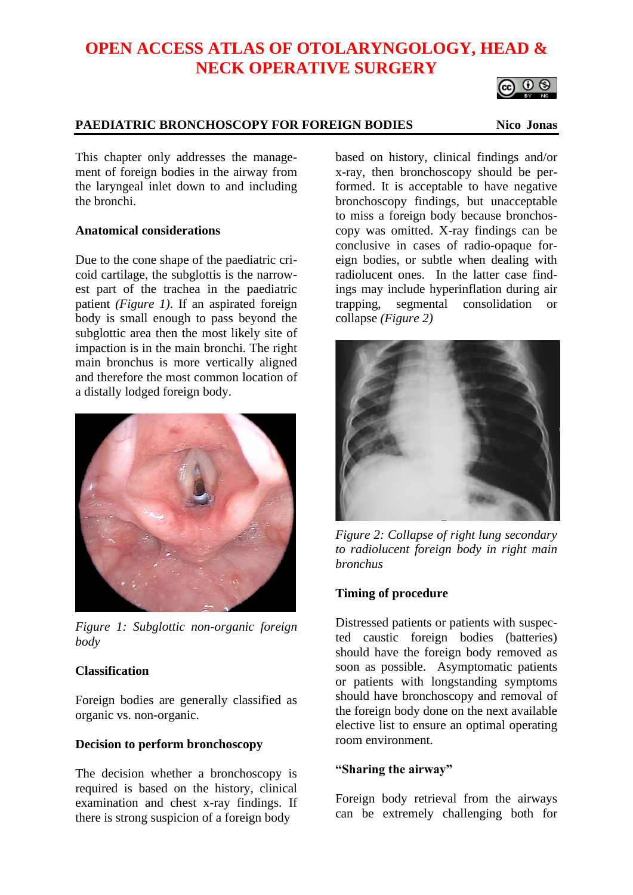# **OPEN ACCESS ATLAS OF OTOLARYNGOLOGY, HEAD & NECK OPERATIVE SURGERY**

## **PAEDIATRIC BRONCHOSCOPY FOR FOREIGN BODIES Nico Jonas**

၀ မ

This chapter only addresses the management of foreign bodies in the airway from the laryngeal inlet down to and including the bronchi.

## **Anatomical considerations**

Due to the cone shape of the paediatric cricoid cartilage, the subglottis is the narrowest part of the trachea in the paediatric patient *(Figure 1)*. If an aspirated foreign body is small enough to pass beyond the subglottic area then the most likely site of impaction is in the main bronchi. The right main bronchus is more vertically aligned and therefore the most common location of a distally lodged foreign body.



*Figure 1: Subglottic non-organic foreign body*

## **Classification**

Foreign bodies are generally classified as organic vs. non-organic.

#### **Decision to perform bronchoscopy**

The decision whether a bronchoscopy is required is based on the history, clinical examination and chest x-ray findings. If there is strong suspicion of a foreign body

based on history, clinical findings and/or x-ray, then bronchoscopy should be performed. It is acceptable to have negative bronchoscopy findings, but unacceptable to miss a foreign body because bronchoscopy was omitted. X-ray findings can be conclusive in cases of radio-opaque foreign bodies, or subtle when dealing with radiolucent ones. In the latter case findings may include hyperinflation during air trapping, segmental consolidation or collapse *(Figure 2)*



*Figure 2: Collapse of right lung secondary to radiolucent foreign body in right main bronchus*

## **Timing of procedure**

Distressed patients or patients with suspected caustic foreign bodies (batteries) should have the foreign body removed as soon as possible. Asymptomatic patients or patients with longstanding symptoms should have bronchoscopy and removal of the foreign body done on the next available elective list to ensure an optimal operating room environment.

## **"Sharing the airway"**

Foreign body retrieval from the airways can be extremely challenging both for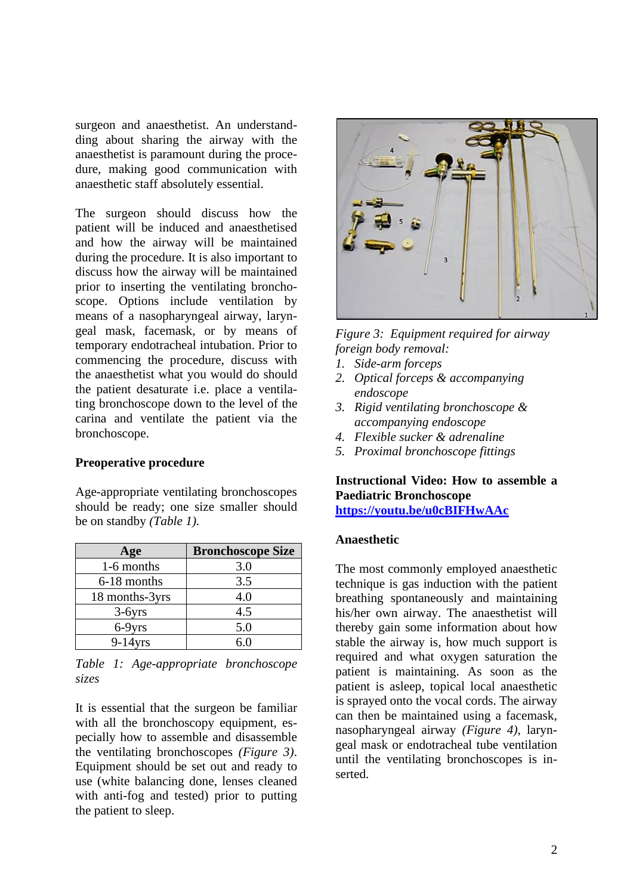surgeon and anaesthetist. An understandding about sharing the airway with the anaesthetist is paramount during the procedure, making good communication with anaesthetic staff absolutely essential.

The surgeon should discuss how the patient will be induced and anaesthetised and how the airway will be maintained during the procedure. It is also important to discuss how the airway will be maintained prior to inserting the ventilating bronchoscope. Options include ventilation by means of a nasopharyngeal airway, laryngeal mask, facemask, or by means of temporary endotracheal intubation. Prior to commencing the procedure, discuss with the anaesthetist what you would do should the patient desaturate i.e. place a ventilating bronchoscope down to the level of the carina and ventilate the patient via the bronchoscope.

#### **Preoperative procedure**

Age-appropriate ventilating bronchoscopes should be ready; one size smaller should be on standby *(Table 1).*

| Age            | <b>Bronchoscope Size</b> |
|----------------|--------------------------|
| 1-6 months     | 3.0                      |
| 6-18 months    | 3.5                      |
| 18 months-3yrs | 4.0                      |
| $3-6yrs$       | 4.5                      |
| 6-9yrs         | 5.0                      |
| $9-14$ yrs     | 6 በ                      |

*Table 1: Age-appropriate bronchoscope sizes*

It is essential that the surgeon be familiar with all the bronchoscopy equipment, especially how to assemble and disassemble the ventilating bronchoscopes *(Figure 3)*. Equipment should be set out and ready to use (white balancing done, lenses cleaned with anti-fog and tested) prior to putting the patient to sleep.



*Figure 3: Equipment required for airway foreign body removal:*

- *1. Side-arm forceps*
- *2. Optical forceps & accompanying endoscope*
- *3. Rigid ventilating bronchoscope & accompanying endoscope*
- *4. Flexible sucker & adrenaline*
- *5. Proximal bronchoscope fittings*

#### **Instructional Video: How to assemble a Paediatric Bronchoscope [https://youtu.be/u0cBIFHwAAc](https://protect-za.mimecast.com/s/gEJ_CBgX56fZ2QKrszxL7d)**

#### **Anaesthetic**

The most commonly employed anaesthetic technique is gas induction with the patient breathing spontaneously and maintaining his/her own airway. The anaesthetist will thereby gain some information about how stable the airway is, how much support is required and what oxygen saturation the patient is maintaining. As soon as the patient is asleep, topical local anaesthetic is sprayed onto the vocal cords. The airway can then be maintained using a facemask, nasopharyngeal airway *(Figure 4),* laryngeal mask or endotracheal tube ventilation until the ventilating bronchoscopes is inserted.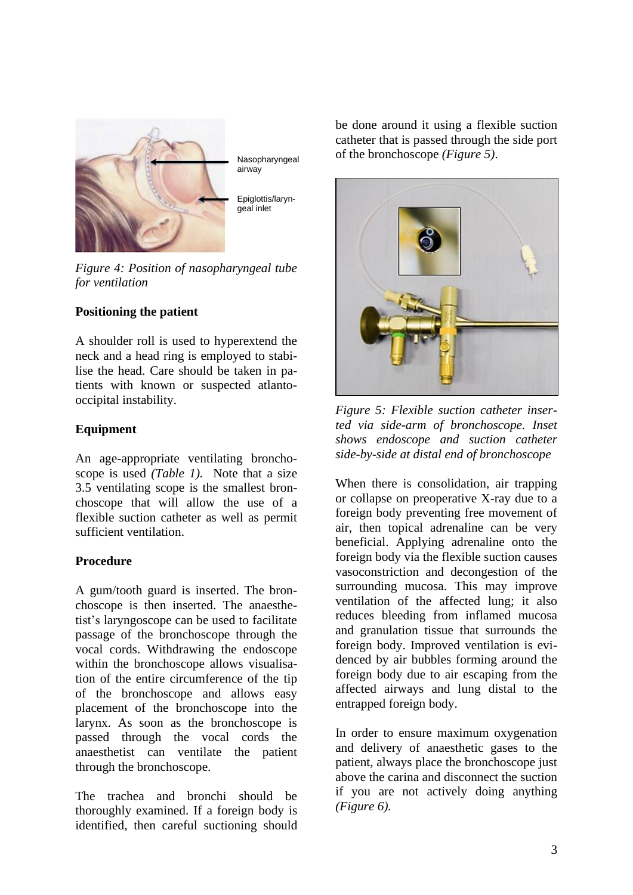

Nasopharyngeal airway

Epiglottis/laryngeal inlet

*Figure 4: Position of nasopharyngeal tube for ventilation*

## **Positioning the patient**

A shoulder roll is used to hyperextend the neck and a head ring is employed to stabilise the head. Care should be taken in patients with known or suspected atlantooccipital instability.

### **Equipment**

An age-appropriate ventilating bronchoscope is used *(Table 1).* Note that a size 3.5 ventilating scope is the smallest bronchoscope that will allow the use of a flexible suction catheter as well as permit sufficient ventilation.

#### **Procedure**

A gum/tooth guard is inserted. The bronchoscope is then inserted. The anaesthetist's laryngoscope can be used to facilitate passage of the bronchoscope through the vocal cords. Withdrawing the endoscope within the bronchoscope allows visualisation of the entire circumference of the tip of the bronchoscope and allows easy placement of the bronchoscope into the larynx. As soon as the bronchoscope is passed through the vocal cords the anaesthetist can ventilate the patient through the bronchoscope.

The trachea and bronchi should be thoroughly examined. If a foreign body is identified, then careful suctioning should be done around it using a flexible suction catheter that is passed through the side port of the bronchoscope *(Figure 5)*.



*Figure 5: Flexible suction catheter inserted via side-arm of bronchoscope. Inset shows endoscope and suction catheter side-by-side at distal end of bronchoscope*

When there is consolidation, air trapping or collapse on preoperative X-ray due to a foreign body preventing free movement of air, then topical adrenaline can be very beneficial. Applying adrenaline onto the foreign body via the flexible suction causes vasoconstriction and decongestion of the surrounding mucosa. This may improve ventilation of the affected lung; it also reduces bleeding from inflamed mucosa and granulation tissue that surrounds the foreign body. Improved ventilation is evidenced by air bubbles forming around the foreign body due to air escaping from the affected airways and lung distal to the entrapped foreign body.

In order to ensure maximum oxygenation and delivery of anaesthetic gases to the patient, always place the bronchoscope just above the carina and disconnect the suction if you are not actively doing anything *(Figure 6).*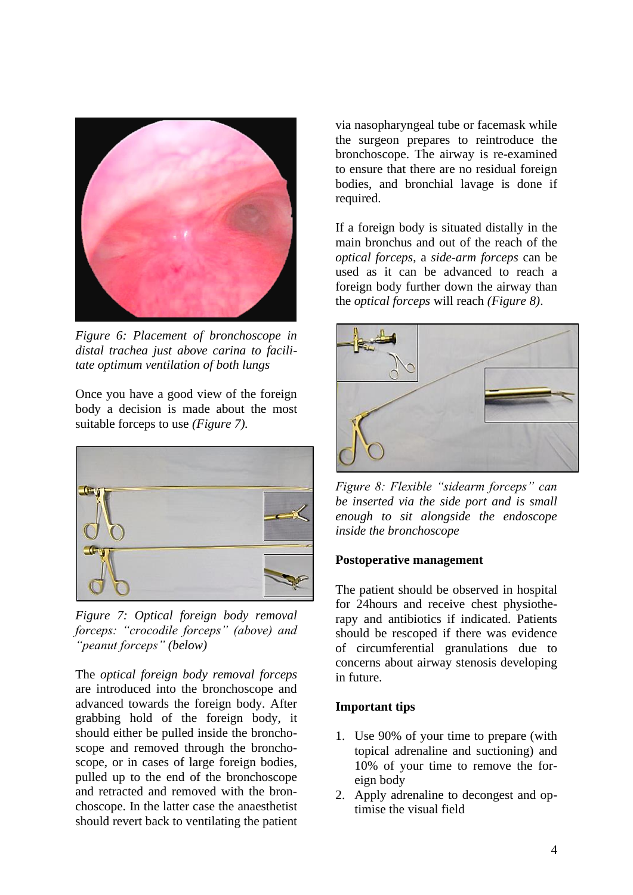

*Figure 6: Placement of bronchoscope in distal trachea just above carina to facilitate optimum ventilation of both lungs*

Once you have a good view of the foreign body a decision is made about the most suitable forceps to use *(Figure 7).*



*Figure 7: Optical foreign body removal forceps: "crocodile forceps" (above) and "peanut forceps" (below)*

The *optical foreign body removal forceps* are introduced into the bronchoscope and advanced towards the foreign body. After grabbing hold of the foreign body, it should either be pulled inside the bronchoscope and removed through the bronchoscope, or in cases of large foreign bodies, pulled up to the end of the bronchoscope and retracted and removed with the bronchoscope. In the latter case the anaesthetist should revert back to ventilating the patient via nasopharyngeal tube or facemask while the surgeon prepares to reintroduce the bronchoscope. The airway is re-examined to ensure that there are no residual foreign bodies, and bronchial lavage is done if required.

If a foreign body is situated distally in the main bronchus and out of the reach of the *optical forceps*, a *side-arm forceps* can be used as it can be advanced to reach a foreign body further down the airway than the *optical forceps* will reach *(Figure 8)*.



*Figure 8: Flexible "sidearm forceps" can be inserted via the side port and is small enough to sit alongside the endoscope inside the bronchoscope*

#### **Postoperative management**

The patient should be observed in hospital for 24hours and receive chest physiotherapy and antibiotics if indicated. Patients should be rescoped if there was evidence of circumferential granulations due to concerns about airway stenosis developing in future.

#### **Important tips**

- 1. Use 90% of your time to prepare (with topical adrenaline and suctioning) and 10% of your time to remove the foreign body
- 2. Apply adrenaline to decongest and optimise the visual field